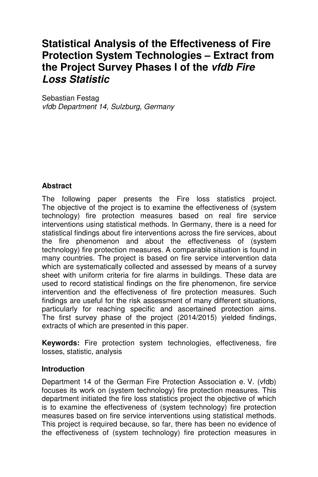# **Statistical Analysis of the Effectiveness of Fire Protection System Technologies – Extract from the Project Survey Phases I of the vfdb Fire Loss Statistic**

Sebastian Festag vfdb Department 14, Sulzburg, Germany

## **Abstract**

The following paper presents the Fire loss statistics project. The objective of the project is to examine the effectiveness of (system technology) fire protection measures based on real fire service interventions using statistical methods. In Germany, there is a need for statistical findings about fire interventions across the fire services, about the fire phenomenon and about the effectiveness of (system technology) fire protection measures. A comparable situation is found in many countries. The project is based on fire service intervention data which are systematically collected and assessed by means of a survey sheet with uniform criteria for fire alarms in buildings. These data are used to record statistical findings on the fire phenomenon, fire service intervention and the effectiveness of fire protection measures. Such findings are useful for the risk assessment of many different situations, particularly for reaching specific and ascertained protection aims. The first survey phase of the project (2014/2015) yielded findings, extracts of which are presented in this paper.

**Keywords:** Fire protection system technologies, effectiveness, fire losses, statistic, analysis

#### **Introduction**

Department 14 of the German Fire Protection Association e. V. (vfdb) focuses its work on (system technology) fire protection measures. This department initiated the fire loss statistics project the objective of which is to examine the effectiveness of (system technology) fire protection measures based on fire service interventions using statistical methods. This project is required because, so far, there has been no evidence of the effectiveness of (system technology) fire protection measures in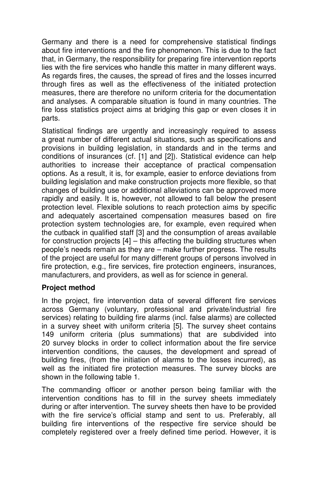Germany and there is a need for comprehensive statistical findings about fire interventions and the fire phenomenon. This is due to the fact that, in Germany, the responsibility for preparing fire intervention reports lies with the fire services who handle this matter in many different ways. As regards fires, the causes, the spread of fires and the losses incurred through fires as well as the effectiveness of the initiated protection measures, there are therefore no uniform criteria for the documentation and analyses. A comparable situation is found in many countries. The fire loss statistics project aims at bridging this gap or even closes it in parts.

Statistical findings are urgently and increasingly required to assess a great number of different actual situations, such as specifications and provisions in building legislation, in standards and in the terms and conditions of insurances (cf. [1] and [2]). Statistical evidence can help authorities to increase their acceptance of practical compensation options. As a result, it is, for example, easier to enforce deviations from building legislation and make construction projects more flexible, so that changes of building use or additional alleviations can be approved more rapidly and easily. It is, however, not allowed to fall below the present protection level. Flexible solutions to reach protection aims by specific and adequately ascertained compensation measures based on fire protection system technologies are, for example, even required when the cutback in qualified staff [3] and the consumption of areas available for construction projects  $[4]$  – this affecting the building structures when people's needs remain as they are – make further progress. The results of the project are useful for many different groups of persons involved in fire protection, e.g., fire services, fire protection engineers, insurances, manufacturers, and providers, as well as for science in general.

#### **Project method**

In the project, fire intervention data of several different fire services across Germany (voluntary, professional and private/industrial fire services) relating to building fire alarms (incl. false alarms) are collected in a survey sheet with uniform criteria [5]. The survey sheet contains 149 uniform criteria (plus summations) that are subdivided into 20 survey blocks in order to collect information about the fire service intervention conditions, the causes, the development and spread of building fires, (from the initiation of alarms to the losses incurred), as well as the initiated fire protection measures. The survey blocks are shown in the following table 1.

The commanding officer or another person being familiar with the intervention conditions has to fill in the survey sheets immediately during or after intervention. The survey sheets then have to be provided with the fire service's official stamp and sent to us. Preferably, all building fire interventions of the respective fire service should be completely registered over a freely defined time period. However, it is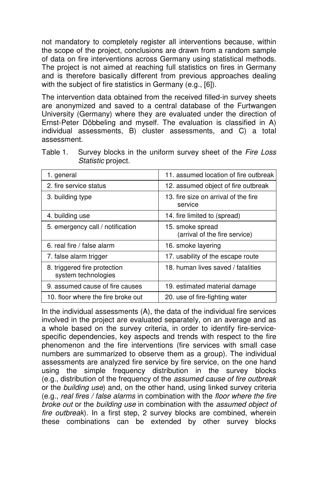not mandatory to completely register all interventions because, within the scope of the project, conclusions are drawn from a random sample of data on fire interventions across Germany using statistical methods. The project is not aimed at reaching full statistics on fires in Germany and is therefore basically different from previous approaches dealing with the subject of fire statistics in Germany (e.g., [6]).

The intervention data obtained from the received filled-in survey sheets are anonymized and saved to a central database of the Furtwangen University (Germany) where they are evaluated under the direction of Ernst-Peter Döbbeling and myself. The evaluation is classified in A) individual assessments, B) cluster assessments, and C) a total assessment.

| Table 1. Survey blocks in the uniform survey sheet of the Fire Loss |  |
|---------------------------------------------------------------------|--|
| <i>Statistic</i> project.                                           |  |

| 1. general                                          | 11. assumed location of fire outbreak             |  |  |  |  |
|-----------------------------------------------------|---------------------------------------------------|--|--|--|--|
| 2. fire service status                              | 12. assumed object of fire outbreak               |  |  |  |  |
| 3. building type                                    | 13. fire size on arrival of the fire<br>service   |  |  |  |  |
| 4. building use                                     | 14. fire limited to (spread)                      |  |  |  |  |
| 5. emergency call / notification                    | 15. smoke spread<br>(arrival of the fire service) |  |  |  |  |
| 6. real fire / false alarm                          | 16. smoke layering                                |  |  |  |  |
| 7. false alarm trigger                              | 17. usability of the escape route                 |  |  |  |  |
| 8. triggered fire protection<br>system technologies | 18. human lives saved / fatalities                |  |  |  |  |
| 9. assumed cause of fire causes                     | 19. estimated material damage                     |  |  |  |  |
| 10. floor where the fire broke out                  | 20. use of fire-fighting water                    |  |  |  |  |

In the individual assessments (A), the data of the individual fire services involved in the project are evaluated separately, on an average and as a whole based on the survey criteria, in order to identify fire-servicespecific dependencies, key aspects and trends with respect to the fire phenomenon and the fire interventions (fire services with small case numbers are summarized to observe them as a group). The individual assessments are analyzed fire service by fire service, on the one hand using the simple frequency distribution in the survey blocks (e.g., distribution of the frequency of the assumed cause of fire outbreak or the building use) and, on the other hand, using linked survey criteria (e.g., real fires / false alarms in combination with the floor where the fire broke out or the building use in combination with the assumed object of fire outbreak). In a first step, 2 survey blocks are combined, wherein these combinations can be extended by other survey blocks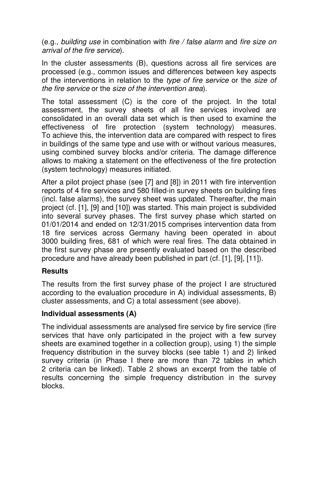(e.g., building use in combination with fire / false alarm and fire size on arrival of the fire service).

In the cluster assessments (B), questions across all fire services are processed (e.g., common issues and differences between key aspects of the interventions in relation to the type of fire service or the size of the fire service or the size of the intervention area).

The total assessment (C) is the core of the project. In the total assessment, the survey sheets of all fire services involved are consolidated in an overall data set which is then used to examine the effectiveness of fire protection (system technology) measures. To achieve this, the intervention data are compared with respect to fires in buildings of the same type and use with or without various measures, using combined survey blocks and/or criteria. The damage difference allows to making a statement on the effectiveness of the fire protection (system technology) measures initiated.

After a pilot project phase (see [7] and [8]) in 2011 with fire intervention reports of 4 fire services and 580 filled-in survey sheets on building fires (incl. false alarms), the survey sheet was updated. Thereafter, the main project (cf. [1], [9] and [10]) was started. This main project is subdivided into several survey phases. The first survey phase which started on 01/01/2014 and ended on 12/31/2015 comprises intervention data from 18 fire services across Germany having been operated in about 3000 building fires, 681 of which were real fires. The data obtained in the first survey phase are presently evaluated based on the described procedure and have already been published in part (cf. [1], [9], [11]).

#### **Results**

The results from the first survey phase of the project I are structured according to the evaluation procedure in A) individual assessments, B) cluster assessments, and C) a total assessment (see above).

#### **Individual assessments (A)**

The individual assessments are analysed fire service by fire service (fire services that have only participated in the project with a few survey sheets are examined together in a collection group), using 1) the simple frequency distribution in the survey blocks (see table 1) and 2) linked survey criteria (in Phase I there are more than 72 tables in which 2 criteria can be linked). Table 2 shows an excerpt from the table of results concerning the simple frequency distribution in the survey blocks.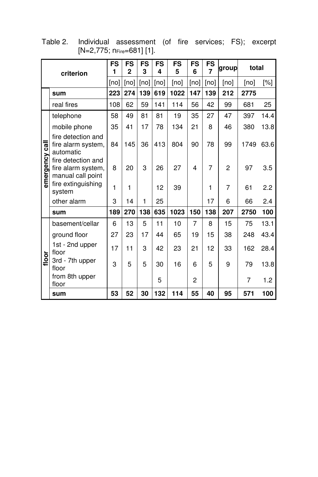| criterion      |                                                               | <b>FS</b><br>1 | <b>FS</b><br>$\overline{2}$ | <b>FS</b><br>3 | FS<br>4 | <b>FS</b><br>5 | <b>FS</b><br>6 | <b>FS</b><br>$\overline{7}$ | group          | total     |      |
|----------------|---------------------------------------------------------------|----------------|-----------------------------|----------------|---------|----------------|----------------|-----------------------------|----------------|-----------|------|
|                |                                                               | [no]           | [no]                        | [no]           | [no]    | [no]           | [no]           | [no]                        | [no]           | [no]      | [%]  |
|                | sum                                                           | 223            | 274                         | 139            | 619     | 1022           | 147            | 139                         | 212            | 2775      |      |
|                | real fires                                                    | 108            | 62                          | 59             | 141     | 114            | 56             | 42                          | 99             | 681       | 25   |
|                | telephone                                                     | 58             | 49                          | 81             | 81      | 19             | 35             | 27                          | 47             | 397       | 14.4 |
|                | mobile phone                                                  | 35             | 41                          | 17             | 78      | 134            | 21             | 8                           | 46             | 380       | 13.8 |
|                | fire detection and<br>fire alarm system,<br>automatic         | 84             | 145                         | 36             | 413     | 804            | 90             | 78                          | 99             | 1749 63.6 |      |
| emergency call | fire detection and<br>fire alarm system,<br>manual call point | 8              | 20                          | 3              | 26      | 27             | 4              | 7                           | $\overline{2}$ | 97        | 3.5  |
|                | fire extinguishing<br>system                                  | 1              | 1                           |                | 12      | 39             |                | 1                           | 7              | 61        | 2.2  |
|                | other alarm                                                   | 3              | 14                          | 1              | 25      |                |                | 17                          | 6              | 66        | 2.4  |
|                | sum                                                           | 189            | 270                         | 138            | 635     | 1023           | 150            | 138                         | 207            | 2750      | 100  |
|                | basement/cellar                                               | 6              | 13                          | 5              | 11      | 10             | 7              | 8                           | 15             | 75        | 13.1 |
|                | ground floor                                                  | 27             | 23                          | 17             | 44      | 65             | 19             | 15                          | 38             | 248       | 43.4 |
|                | 1st - 2nd upper<br>floor                                      | 17             | 11                          | 3              | 42      | 23             | 21             | 12                          | 33             | 162       | 28.4 |
| floor          | 3rd - 7th upper<br>floor                                      | 3              | 5                           | 5              | 30      | 16             | 6              | 5                           | 9              | 79        | 13.8 |
|                | from 8th upper<br>floor                                       |                |                             |                | 5       |                | $\overline{2}$ |                             |                | 7         | 1.2  |
|                | sum                                                           | 53             | 52                          | 30             | 132     | 114            | 55             | 40                          | 95             | 571       | 100  |

Table 2. Individual assessment (of fire services; FS); excerpt [N=2,775; nFire=681] [1].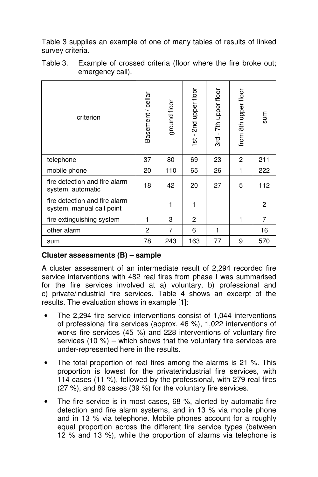Table 3 supplies an example of one of many tables of results of linked survey criteria.

| criterion                                                  | Basement / cellar | ground floor | 1st - 2nd upper floor | 3rd - 7th upper floor | from 8th upper floor | sum          |
|------------------------------------------------------------|-------------------|--------------|-----------------------|-----------------------|----------------------|--------------|
| telephone                                                  | 37                | 80           | 69                    | 23                    | $\overline{2}$       | 211          |
| mobile phone                                               | 20                | 110          | 65                    | 26                    | 1                    | 222          |
| fire detection and fire alarm<br>system, automatic         | 18                | 42           | 20                    | 27                    | 5                    | 112          |
| fire detection and fire alarm<br>system, manual call point |                   | 1            | 1                     |                       |                      | $\mathbf{2}$ |
| fire extinguishing system                                  | 1                 | 3            | $\mathbf{2}$          |                       | 1                    | 7            |
| other alarm                                                | 2                 | 7            | 6                     | 1                     |                      | 16           |
| sum                                                        | 78                | 243          | 163                   | 77                    | 9                    | 570          |

Table 3. Example of crossed criteria (floor where the fire broke out; emergency call).

## **Cluster assessments (B) – sample**

A cluster assessment of an intermediate result of 2,294 recorded fire service interventions with 482 real fires from phase I was summarised for the fire services involved at a) voluntary, b) professional and c) private/industrial fire services. Table 4 shows an excerpt of the results. The evaluation shows in example [1]:

- The 2,294 fire service interventions consist of 1,044 interventions of professional fire services (approx. 46 %), 1,022 interventions of works fire services (45 %) and 228 interventions of voluntary fire services (10 %) – which shows that the voluntary fire services are under-represented here in the results.
- The total proportion of real fires among the alarms is 21 %. This proportion is lowest for the private/industrial fire services, with 114 cases (11 %), followed by the professional, with 279 real fires (27 %), and 89 cases (39 %) for the voluntary fire services.
- The fire service is in most cases, 68 %, alerted by automatic fire detection and fire alarm systems, and in 13 % via mobile phone and in 13 % via telephone. Mobile phones account for a roughly equal proportion across the different fire service types (between 12 % and 13 %), while the proportion of alarms via telephone is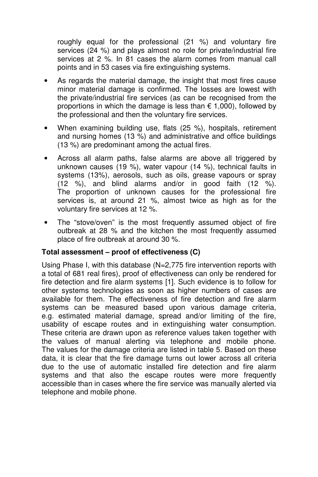roughly equal for the professional (21 %) and voluntary fire services (24 %) and plays almost no role for private/industrial fire services at 2 %. In 81 cases the alarm comes from manual call points and in 53 cases via fire extinguishing systems.

- As regards the material damage, the insight that most fires cause minor material damage is confirmed. The losses are lowest with the private/industrial fire services (as can be recognised from the proportions in which the damage is less than  $\epsilon$  1,000), followed by the professional and then the voluntary fire services.
- When examining building use, flats (25 %), hospitals, retirement and nursing homes (13 %) and administrative and office buildings (13 %) are predominant among the actual fires.
- Across all alarm paths, false alarms are above all triggered by unknown causes (19 %), water vapour (14 %), technical faults in systems (13%), aerosols, such as oils, grease vapours or spray (12 %), and blind alarms and/or in good faith (12 %). The proportion of unknown causes for the professional fire services is, at around 21 %, almost twice as high as for the voluntary fire services at 12 %.
- The "stove/oven" is the most frequently assumed object of fire outbreak at 28 % and the kitchen the most frequently assumed place of fire outbreak at around 30 %.

#### **Total assessment – proof of effectiveness (C)**

Using Phase I, with this database (N=2,775 fire intervention reports with a total of 681 real fires), proof of effectiveness can only be rendered for fire detection and fire alarm systems [1]. Such evidence is to follow for other systems technologies as soon as higher numbers of cases are available for them. The effectiveness of fire detection and fire alarm systems can be measured based upon various damage criteria, e.g. estimated material damage, spread and/or limiting of the fire, usability of escape routes and in extinguishing water consumption. These criteria are drawn upon as reference values taken together with the values of manual alerting via telephone and mobile phone. The values for the damage criteria are listed in table 5. Based on these data, it is clear that the fire damage turns out lower across all criteria due to the use of automatic installed fire detection and fire alarm systems and that also the escape routes were more frequently accessible than in cases where the fire service was manually alerted via telephone and mobile phone.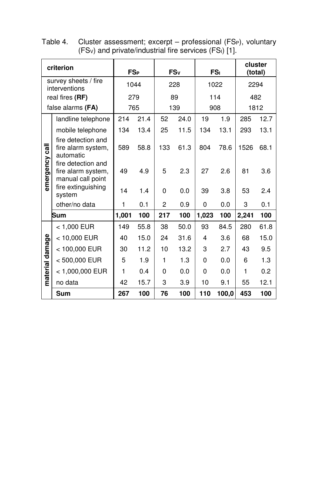| criterion                             |                                                               | <b>FS<sub>P</sub></b> |      | FSv            |      | FS <sub>I</sub> |       | cluster<br>(total) |      |
|---------------------------------------|---------------------------------------------------------------|-----------------------|------|----------------|------|-----------------|-------|--------------------|------|
| survey sheets / fire<br>interventions |                                                               | 1044                  |      | 228            |      | 1022            |       | 2294               |      |
|                                       | real fires (RF)                                               | 279                   |      | 89             |      | 114             |       | 482                |      |
| false alarms (FA)                     |                                                               | 765                   |      | 139            |      | 908             |       | 1812               |      |
|                                       | landline telephone                                            | 214                   | 21.4 | 52             | 24.0 | 19              | 1.9   | 285                | 12.7 |
|                                       | mobile telephone                                              | 134                   | 13.4 | 25             | 11.5 | 134             | 13.1  | 293                | 13.1 |
| emergency call                        | fire detection and<br>fire alarm system,<br>automatic         | 589                   | 58.8 | 133            | 61.3 | 804             | 78.6  | 1526               | 68.1 |
|                                       | fire detection and<br>fire alarm system,<br>manual call point | 49                    | 4.9  | 5              | 2.3  | 27              | 2.6   | 81                 | 3.6  |
|                                       | fire extinguishing<br>system                                  | 14                    | 1.4  | 0              | 0.0  | 39              | 3.8   | 53                 | 2.4  |
|                                       | other/no data                                                 | 1                     | 0.1  | $\overline{2}$ | 0.9  | 0               | 0.0   | 3                  | 0.1  |
| Sum                                   |                                                               | 1,001                 | 100  | 217            | 100  | 1,023           | 100   | 2,241              | 100  |
|                                       | < 1.000 EUR                                                   | 149                   | 55.8 | 38             | 50.0 | 93              | 84.5  | 280                | 61.8 |
|                                       | < 10,000 EUR                                                  | 40                    | 15.0 | 24             | 31.6 | 4               | 3.6   | 68                 | 15.0 |
| damage<br>material                    | < 100,000 EUR                                                 | 30                    | 11.2 | 10             | 13.2 | 3               | 2.7   | 43                 | 9.5  |
|                                       | <500,000 EUR                                                  | 5                     | 1.9  | 1              | 1.3  | 0               | 0.0   | 6                  | 1.3  |
|                                       | < 1,000,000 EUR                                               | 1                     | 0.4  | 0              | 0.0  | 0               | 0.0   | 1                  | 0.2  |
|                                       | no data                                                       | 42                    | 15.7 | 3              | 3.9  | 10              | 9.1   | 55                 | 12.1 |
| Sum                                   |                                                               | 267                   | 100  | 76             | 100  | 110             | 100,0 | 453                | 100  |

Table 4. Cluster assessment; excerpt – professional (FSP), voluntary  $(FS_v)$  and private/industrial fire services  $(FS_i)$  [1].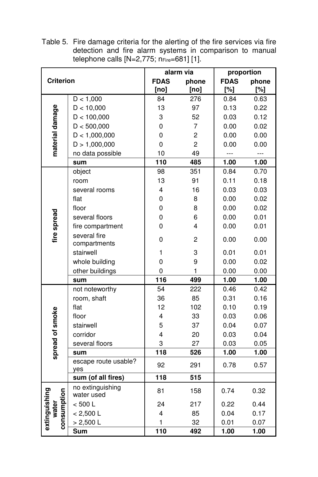Table 5. Fire damage criteria for the alerting of the fire services via fire detection and fire alarm systems in comparison to manual telephone calls  $[N=2,775; n_{Fire}=681]$  [1].

|                              |                                |                         | alarm via      | proportion  |        |  |
|------------------------------|--------------------------------|-------------------------|----------------|-------------|--------|--|
| <b>Criterion</b>             |                                | <b>FDAS</b><br>phone    |                | <b>FDAS</b> | phone  |  |
|                              |                                | [no]                    | [no]           | $[\%]$      | $[\%]$ |  |
|                              | D < 1,000                      | 84                      | 276            | 0.84        | 0.63   |  |
|                              | D < 10,000                     | 13                      | 97             | 0.13        | 0.22   |  |
|                              | D < 100,000                    | 3                       | 52             | 0.03        | 0.12   |  |
|                              | D < 500,000                    | $\overline{0}$          | 7              | 0.00        | 0.02   |  |
| material damage              | D < 1,000,000                  | $\overline{0}$          | $\overline{c}$ | 0.00        | 0.00   |  |
|                              | D > 1,000,000                  | 0                       | $\overline{c}$ | 0.00        | 0.00   |  |
|                              | no data possible               | 10                      | 49             | ---         | ---    |  |
|                              | sum                            | 110                     | 485            | 1.00        | 1.00   |  |
|                              | object                         | 98                      | 351            | 0.84        | 0.70   |  |
|                              | room                           | 13                      | 91             | 0.11        | 0.18   |  |
|                              | several rooms                  | $\overline{\mathbf{4}}$ | 16             | 0.03        | 0.03   |  |
|                              | flat                           | 0                       | 8              | 0.00        | 0.02   |  |
|                              | floor                          | 0                       | 8              | 0.00        | 0.02   |  |
|                              | several floors                 | 0                       | 6              | 0.00        | 0.01   |  |
| fire spread                  | fire compartment               | 0                       | 4              | 0.00        | 0.01   |  |
|                              | several fire                   | 0                       | 2              | 0.00        | 0.00   |  |
|                              | compartments                   |                         |                |             |        |  |
|                              | stairwell                      | 1                       | 3              | 0.01        | 0.01   |  |
|                              | whole building                 | 0                       | 9              | 0.00        | 0.02   |  |
|                              | other buildings                | 0                       | 1              | 0.00        | 0.00   |  |
|                              | sum                            | 116                     | 499            | 1.00        | 1.00   |  |
|                              | not noteworthy                 | 54                      | 222            | 0.46        | 0.42   |  |
|                              | room, shaft                    | 36                      | 85             | 0.31        | 0.16   |  |
|                              | flat                           | 12                      | 102            | 0.10        | 0.19   |  |
|                              | floor                          | 4                       | 33             | 0.03        | 0.06   |  |
|                              | stairwell                      | 5                       | 37             | 0.04        | 0.07   |  |
|                              | corridor                       | 4                       | 20             | 0.03        | 0.04   |  |
|                              | several floors                 | 3                       | 27             | 0.03        | 0.05   |  |
| spread of smoke              | sum                            | 118                     | 526            | 1.00        | 1.00   |  |
|                              | escape route usable?<br>yes    | 92                      | 291            | 0.78        | 0.57   |  |
|                              | sum (of all fires)             | 118                     | 515            |             |        |  |
| extinguishing<br>consumption | no extinguishing<br>water used | 81                      | 158            | 0.74        | 0.32   |  |
|                              | < 500 L                        | 24                      | 217            | 0.22        | 0.44   |  |
| water                        | < 2,500 L                      | 4                       | 85             | 0.04        | 0.17   |  |
|                              | $> 2,500$ L                    | 1                       | 32             | 0.01        | 0.07   |  |
|                              | Sum                            | 110                     | 492            | 1.00        | 1.00   |  |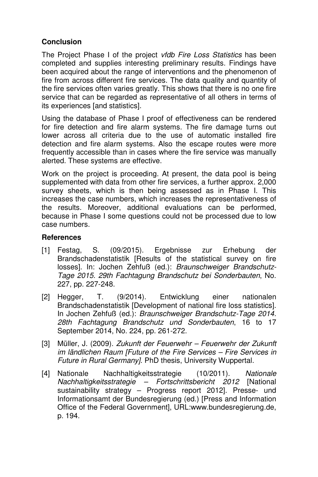## **Conclusion**

The Project Phase I of the project vfdb Fire Loss Statistics has been completed and supplies interesting preliminary results. Findings have been acquired about the range of interventions and the phenomenon of fire from across different fire services. The data quality and quantity of the fire services often varies greatly. This shows that there is no one fire service that can be regarded as representative of all others in terms of its experiences [and statistics].

Using the database of Phase I proof of effectiveness can be rendered for fire detection and fire alarm systems. The fire damage turns out lower across all criteria due to the use of automatic installed fire detection and fire alarm systems. Also the escape routes were more frequently accessible than in cases where the fire service was manually alerted. These systems are effective.

Work on the project is proceeding. At present, the data pool is being supplemented with data from other fire services, a further approx. 2,000 survey sheets, which is then being assessed as in Phase I. This increases the case numbers, which increases the representativeness of the results. Moreover, additional evaluations can be performed, because in Phase I some questions could not be processed due to low case numbers.

### **References**

- [1] Festag, S. (09/2015). Ergebnisse zur Erhebung der Brandschadenstatistik [Results of the statistical survey on fire losses]. In: Jochen Zehfuß (ed.): Braunschweiger Brandschutz-Tage 2015. 29th Fachtagung Brandschutz bei Sonderbauten, No. 227, pp. 227-248.
- [2] Hegger, T. (9/2014). Entwicklung einer nationalen Brandschadenstatistik [Development of national fire loss statistics]. In Jochen Zehfuß (ed.): Braunschweiger Brandschutz-Tage 2014. 28th Fachtagung Brandschutz und Sonderbauten, 16 to 17 September 2014, No. 224, pp. 261-272.
- [3] Müller, J. (2009). Zukunft der Feuerwehr Feuerwehr der Zukunft im ländlichen Raum [Future of the Fire Services – Fire Services in Future in Rural Germany]. PhD thesis, University Wuppertal.
- [4] Nationale Nachhaltigkeitsstrategie (10/2011). Nationale Nachhaltigkeitsstrategie – Fortschrittsbericht 2012 [National sustainability strategy – Progress report 2012]. Presse- und Informationsamt der Bundesregierung (ed.) [Press and Information Office of the Federal Government], URL:www.bundesregierung.de, p. 194.